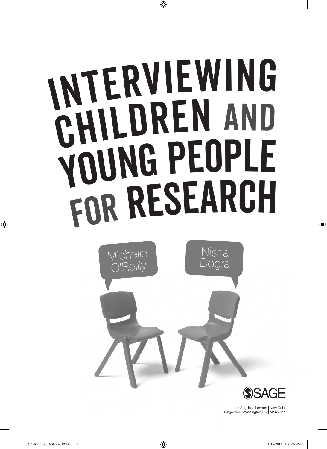# <sup>I</sup>nterviewin<sup>g</sup> CHILDREN AND <sup>Y</sup>oun<sup>g</sup> <sup>P</sup>eopl<sup>e</sup> <sup>f</sup>o<sup>r</sup> <sup>R</sup>esearc<sup>h</sup>



Los Angeles | London | New Delhi Singapore | Washington DC | Melbourne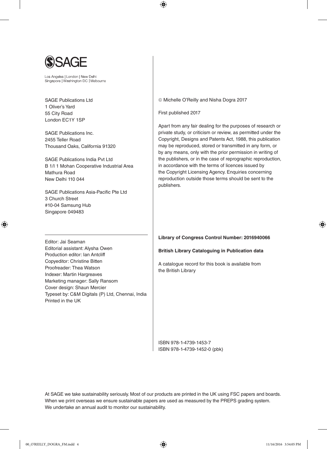

Los Angeles | London | New Delhi Singapore | Washington DC | Melbourne

SAGE Publications Ltd 1 Oliver's Yard 55 City Road London EC1Y 1SP

SAGE Publications Inc. 2455 Teller Road Thousand Oaks, California 91320

SAGE Publications India Pvt Ltd B 1/I 1 Mohan Cooperative Industrial Area Mathura Road New Delhi 110 044

SAGE Publications Asia-Pacific Pte Ltd 3 Church Street #10-04 Samsung Hub Singapore 049483

Editor: Jai Seaman

Printed in the UK

Editorial assistant: Alysha Owen Production editor: Ian Antcliff Copyeditor: Christine Bitten Proofreader: Thea Watson Indexer: Martin Hargreaves Marketing manager: Sally Ransom Cover design: Shaun Mercier

Typeset by: C&M Digitals (P) Ltd, Chennai, India

Michelle O'Reilly and Nisha Dogra 2017

First published 2017

Apart from any fair dealing for the purposes of research or private study, or criticism or review, as permitted under the Copyright, Designs and Patents Act, 1988, this publication may be reproduced, stored or transmitted in any form, or by any means, only with the prior permission in writing of the publishers, or in the case of reprographic reproduction, in accordance with the terms of licences issued by the Copyright Licensing Agency. Enquiries concerning reproduction outside those terms should be sent to the publishers.

**Library of Congress Control Number: 2016940066**

**British Library Cataloguing in Publication data**

A catalogue record for this book is available from the British Library

ISBN 978-1-4739-1453-7 ISBN 978-1-4739-1452-0 (pbk)

At SAGE we take sustainability seriously. Most of our products are printed in the UK using FSC papers and boards. When we print overseas we ensure sustainable papers are used as measured by the PREPS grading system. We undertake an annual audit to monitor our sustainability.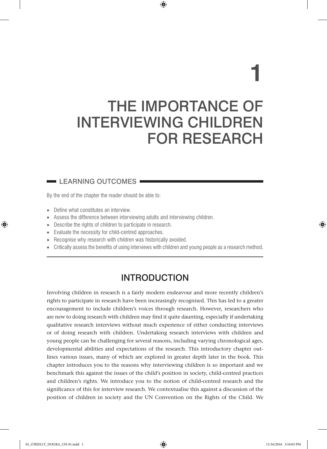# THE IMPORTANCE OF INTERVIEWING CHILDREN FOR RESEARCH

**1**

### $\blacksquare$  LEARNING OUTCOMES  $\blacksquare$

By the end of the chapter the reader should be able to:

- Define what constitutes an interview.
- Assess the difference between interviewing adults and interviewing children.
- Describe the rights of children to participate in research.
- Evaluate the necessity for child-centred approaches.
- Recognise why research with children was historically avoided.
- Critically assess the benefits of using interviews with children and young people as a research method.

# INTRODUCTION

Involving children in research is a fairly modern endeavour and more recently children's rights to participate in research have been increasingly recognised. This has led to a greater encouragement to include children's voices through research. However, researchers who are new to doing research with children may find it quite daunting, especially if undertaking qualitative research interviews without much experience of either conducting interviews or of doing research with children. Undertaking research interviews with children and young people can be challenging for several reasons, including varying chronological ages, developmental abilities and expectations of the research. This introductory chapter outlines various issues, many of which are explored in greater depth later in the book. This chapter introduces you to the reasons why interviewing children is so important and we benchmark this against the issues of the child's position in society, child-centred practices and children's rights. We introduce you to the notion of child-centred research and the significance of this for interview research. We contextualise this against a discussion of the position of children in society and the UN Convention on the Rights of the Child. We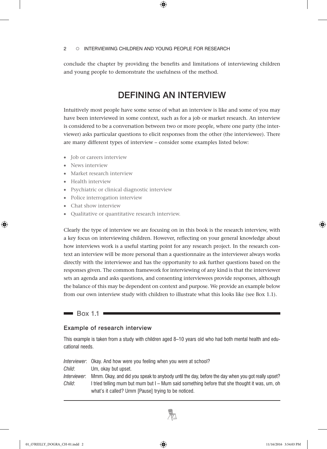conclude the chapter by providing the benefits and limitations of interviewing children and young people to demonstrate the usefulness of the method.

# DEFINING AN INTERVIEW

Intuitively most people have some sense of what an interview is like and some of you may have been interviewed in some context, such as for a job or market research. An interview is considered to be a conversation between two or more people, where one party (the interviewer) asks particular questions to elicit responses from the other (the interviewee). There are many different types of interview – consider some examples listed below:

- Job or careers interview
- News interview
- Market research interview
- Health interview
- Psychiatric or clinical diagnostic interview
- Police interrogation interview
- Chat show interview
- Qualitative or quantitative research interview.

Clearly the type of interview we are focusing on in this book is the research interview, with a key focus on interviewing children. However, reflecting on your general knowledge about how interviews work is a useful starting point for any research project. In the research context an interview will be more personal than a questionnaire as the interviewer always works directly with the interviewee and has the opportunity to ask further questions based on the responses given. The common framework for interviewing of any kind is that the interviewer sets an agenda and asks questions, and consenting interviewees provide responses, although the balance of this may be dependent on context and purpose. We provide an example below from our own interview study with children to illustrate what this looks like (see Box 1.1).

### $\blacksquare$  Box 1.1  $\blacksquare$

### Example of research interview

This example is taken from a study with children aged 8–10 years old who had both mental health and educational needs.

|              | <i>Interviewer</i> : Okay. And how were you feeling when you were at school?                     |
|--------------|--------------------------------------------------------------------------------------------------|
| Child:       | Um. okay but upset.                                                                              |
| Interviewer: | Mmm. Okay, and did you speak to anybody until the day, before the day when you got really upset? |
| Child:       | I tried telling mum but mum but I – Mum said something before that she thought it was, um, oh    |
|              | what's it called? Umm [Pause] trying to be noticed.                                              |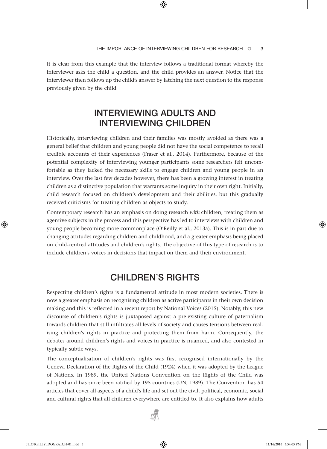It is clear from this example that the interview follows a traditional format whereby the interviewer asks the child a question, and the child provides an answer. Notice that the interviewer then follows up the child's answer by latching the next question to the response previously given by the child.

# INTERVIEWING ADULTS AND INTERVIEWING CHILDREN

Historically, interviewing children and their families was mostly avoided as there was a general belief that children and young people did not have the social competence to recall credible accounts of their experiences (Fraser et al., 2014). Furthermore, because of the potential complexity of interviewing younger participants some researchers felt uncomfortable as they lacked the necessary skills to engage children and young people in an interview. Over the last few decades however, there has been a growing interest in treating children as a distinctive population that warrants some inquiry in their own right. Initially, child research focused on children's development and their abilities, but this gradually received criticisms for treating children as objects to study.

Contemporary research has an emphasis on doing research *with* children, treating them as agentive subjects in the process and this perspective has led to interviews with children and young people becoming more commonplace (O'Reilly et al., 2013a). This is in part due to changing attitudes regarding children and childhood, and a greater emphasis being placed on child-centred attitudes and children's rights. The objective of this type of research is to include children's voices in decisions that impact on them and their environment.

# CHILDREN'S RIGHTS

Respecting children's rights is a fundamental attitude in most modern societies. There is now a greater emphasis on recognising children as active participants in their own decision making and this is reflected in a recent report by National Voices (2015). Notably, this new discourse of children's rights is juxtaposed against a pre-existing culture of paternalism towards children that still infiltrates all levels of society and causes tensions between realising children's rights in practice and protecting them from harm. Consequently, the debates around children's rights and voices in practice is nuanced, and also contested in typically subtle ways.

The conceptualisation of children's rights was first recognised internationally by the Geneva Declaration of the Rights of the Child (1924) when it was adopted by the League of Nations. In 1989, the United Nations Convention on the Rights of the Child was adopted and has since been ratified by 195 countries (UN, 1989). The Convention has 54 articles that cover all aspects of a child's life and set out the civil, political, economic, social and cultural rights that all children everywhere are entitled to. It also explains how adults

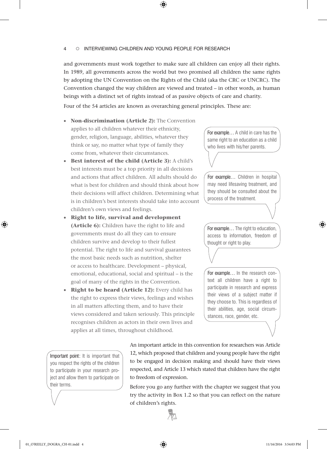and governments must work together to make sure all children can enjoy all their rights. In 1989, all governments across the world but two promised all children the same rights by adopting the UN Convention on the Rights of the Child (aka the CRC or UNCRC). The Convention changed the way children are viewed and treated – in other words, as human beings with a distinct set of rights instead of as passive objects of care and charity.

Four of the 54 articles are known as overarching general principles. These are:

- **Non-discrimination (Article 2):** The Convention applies to all children whatever their ethnicity, gender, religion, language, abilities, whatever they think or say, no matter what type of family they come from, whatever their circumstances.
- **Best interest of the child (Article 3):** A child's best interests must be a top priority in all decisions and actions that affect children. All adults should do what is best for children and should think about how their decisions will affect children. Determining what is in children's best interests should take into account children's own views and feelings.
- **Right to life, survival and development (Article 6):** Children have the right to life and governments must do all they can to ensure children survive and develop to their fullest potential. The right to life and survival guarantees the most basic needs such as nutrition, shelter or access to healthcare. Development – physical, emotional, educational, social and spiritual – is the goal of many of the rights in the Convention.
- **Right to be heard (Article 12):** Every child has the right to express their views, feelings and wishes in all matters affecting them, and to have their views considered and taken seriously. This principle recognises children as actors in their own lives and applies at all times, throughout childhood.

For example… A child in care has the same right to an education as a child who lives with his/her parents.

For example… Children in hospital may need lifesaving treatment, and they should be consulted about the process of the treatment.

For example… The right to education, access to information, freedom of thought or right to play.

For example… In the research context all children have a right to participate in research and express their views of a subject matter if they choose to. This is regardless of their abilities, age, social circumstances, race, gender, etc.

Important point: It is important that you respect the rights of the children to participate in your research project and allow them to participate on their terms.

An important article in this convention for researchers was Article 12, which proposed that children and young people have the right to be engaged in decision making and should have their views respected, and Article 13 which stated that children have the right to freedom of expression.

Before you go any further with the chapter we suggest that you try the activity in Box 1.2 so that you can reflect on the nature of children's rights.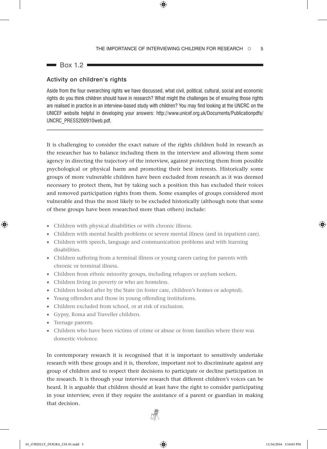$\blacksquare$  Box 1.2  $\blacksquare$ 

### Activity on children's rights

Aside from the four overarching rights we have discussed, what civil, political, cultural, social and economic rights do you think children should have in research? What might the challenges be of ensuring those rights are realised in practice in an interview-based study with children? You may find looking at the UNCRC on the UNICEF website helpful in developing your answers: http://www.unicef.org.uk/Documents/Publicationpdfs/ UNCRC\_PRESS200910web.pdf.

It is challenging to consider the exact nature of the rights children hold in research as the researcher has to balance including them in the interview and allowing them some agency in directing the trajectory of the interview, against protecting them from possible psychological or physical harm and promoting their best interests. Historically some groups of more vulnerable children have been excluded from research as it was deemed necessary to protect them, but by taking such a position this has excluded their voices and removed participation rights from them. Some examples of groups considered most vulnerable and thus the most likely to be excluded historically (although note that some of these groups have been researched more than others) include:

- Children with physical disabilities or with chronic illness.
- Children with mental health problems or severe mental illness (and in inpatient care).
- Children with speech, language and communication problems and with learning disabilities.
- Children suffering from a terminal illness or young carers caring for parents with chronic or terminal illness.
- Children from ethnic minority groups, including refugees or asylum seekers.
- Children living in poverty or who are homeless.
- Children looked after by the State (in foster care, children's homes or adopted).
- Young offenders and those in young offending institutions.
- Children excluded from school, or at risk of exclusion.
- Gypsy, Roma and Traveller children.
- Teenage parents.
- Children who have been victims of crime or abuse or from families where there was domestic violence.

In contemporary research it is recognised that it is important to sensitively undertake research with these groups and it is, therefore, important not to discriminate against any group of children and to respect their decisions to participate or decline participation in the research. It is through your interview research that different children's voices can be heard. It is arguable that children should at least have the right to consider participating in your interview, even if they require the assistance of a parent or guardian in making that decision.

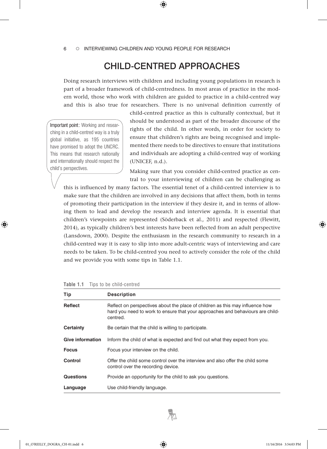6 Interviewing children and young people for research

# CHILD-CENTRED APPROACHES

Doing research interviews with children and including young populations in research is part of a broader framework of child-centredness. In most areas of practice in the modern world, those who work with children are guided to practice in a child-centred way and this is also true for researchers. There is no universal definition currently of

Important point: Working and researching in a child-centred way is a truly global initiative, as 195 countries have promised to adopt the UNCRC. This means that research nationally and internationally should respect the child's perspectives.

child-centred practice as this is culturally contextual, but it should be understood as part of the broader discourse of the rights of the child. In other words, in order for society to ensure that children's rights are being recognised and implemented there needs to be directives to ensure that institutions and individuals are adopting a child-centred way of working (UNICEF, n.d.).

Making sure that you consider child-centred practice as central to your interviewing of children can be challenging as

this is influenced by many factors. The essential tenet of a child-centred interview is to make sure that the children are involved in any decisions that affect them, both in terms of promoting their participation in the interview if they desire it, and in terms of allowing them to lead and develop the research and interview agenda. It is essential that children's viewpoints are represented (Söderback et al., 2011) and respected (Flewitt, 2014), as typically children's best interests have been reflected from an adult perspective (Lansdown, 2000). Despite the enthusiasm in the research community to research in a child-centred way it is easy to slip into more adult-centric ways of interviewing and care needs to be taken. To be child-centred you need to actively consider the role of the child and we provide you with some tips in Table 1.1.

| Tip                     | <b>Description</b>                                                                                                                                                          |
|-------------------------|-----------------------------------------------------------------------------------------------------------------------------------------------------------------------------|
| Reflect                 | Reflect on perspectives about the place of children as this may influence how<br>hard you need to work to ensure that your approaches and behaviours are child-<br>centred. |
| <b>Certainty</b>        | Be certain that the child is willing to participate.                                                                                                                        |
| <b>Give information</b> | Inform the child of what is expected and find out what they expect from you.                                                                                                |
| <b>Focus</b>            | Focus your interview on the child.                                                                                                                                          |
| Control                 | Offer the child some control over the interview and also offer the child some<br>control over the recording device.                                                         |
| <b>Questions</b>        | Provide an opportunity for the child to ask you questions.                                                                                                                  |
| Language                | Use child-friendly language.                                                                                                                                                |

**Table 1.1** Tips to be child-centred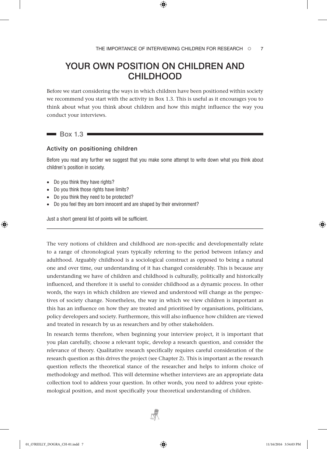# YOUR OWN POSITION ON CHILDREN AND **CHILDHOOD**

Before we start considering the ways in which children have been positioned within society we recommend you start with the activity in Box 1.3. This is useful as it encourages you to think about what you think about children and how this might influence the way you conduct your interviews.

### $\blacksquare$  Box 1.3  $\blacksquare$

### Activity on positioning children

Before you read any further we suggest that you make some attempt to write down what you think about children's position in society.

- Do you think they have rights?
- Do you think those rights have limits?
- Do you think they need to be protected?
- Do you feel they are born innocent and are shaped by their environment?

Just a short general list of points will be sufficient.

The very notions of children and childhood are non-specific and developmentally relate to a range of chronological years typically referring to the period between infancy and adulthood. Arguably childhood is a sociological construct as opposed to being a natural one and over time, our understanding of it has changed considerably. This is because any understanding we have of children and childhood is culturally, politically and historically influenced, and therefore it is useful to consider childhood as a dynamic process. In other words, the ways in which children are viewed and understood will change as the perspectives of society change. Nonetheless, the way in which we view children is important as this has an influence on how they are treated and prioritised by organisations, politicians, policy developers and society. Furthermore, this will also influence how children are viewed and treated in research by us as researchers and by other stakeholders.

In research terms therefore, when beginning your interview project, it is important that you plan carefully, choose a relevant topic, develop a research question, and consider the relevance of theory. Qualitative research specifically requires careful consideration of the research question as this drives the project (see Chapter 2). This is important as the research question reflects the theoretical stance of the researcher and helps to inform choice of methodology and method. This will determine whether interviews are an appropriate data collection tool to address your question. In other words, you need to address your epistemological position, and most specifically your theoretical understanding of children.

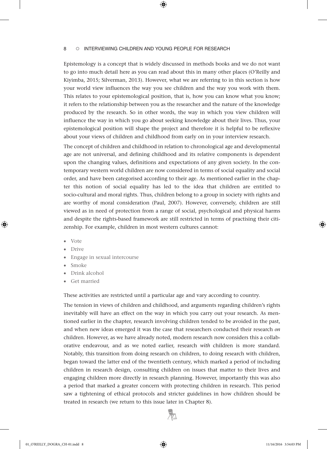Epistemology is a concept that is widely discussed in methods books and we do not want to go into much detail here as you can read about this in many other places (O'Reilly and Kiyimba, 2015; Silverman, 2013). However, what we are referring to in this section is how your world view influences the way you see children and the way you work with them. This relates to your epistemological position, that is, how you can know what you know; it refers to the relationship between you as the researcher and the nature of the knowledge produced by the research. So in other words, the way in which you view children will influence the way in which you go about seeking knowledge about their lives. Thus, your epistemological position will shape the project and therefore it is helpful to be reflexive about your views of children and childhood from early on in your interview research.

The concept of children and childhood in relation to chronological age and developmental age are not universal, and defining childhood and its relative components is dependent upon the changing values, definitions and expectations of any given society. In the contemporary western world children are now considered in terms of social equality and social order, and have been categorised according to their age. As mentioned earlier in the chapter this notion of social equality has led to the idea that children are entitled to socio-cultural and moral rights. Thus, children belong to a group in society with rights and are worthy of moral consideration (Paul, 2007). However, conversely, children are still viewed as in need of protection from a range of social, psychological and physical harms and despite the rights-based framework are still restricted in terms of practising their citizenship. For example, children in most western cultures cannot:

- Vote
- Drive
- Engage in sexual intercourse
- Smoke
- Drink alcohol
- Get married

These activities are restricted until a particular age and vary according to country.

The tension in views of children and childhood, and arguments regarding children's rights inevitably will have an effect on the way in which you carry out your research. As mentioned earlier in the chapter, research involving children tended to be avoided in the past, and when new ideas emerged it was the case that researchers conducted their research *on* children. However, as we have already noted, modern research now considers this a collaborative endeavour, and as we noted earlier, research *with* children is more standard. Notably, this transition from doing research on children, to doing research with children, began toward the latter end of the twentieth century, which marked a period of including children in research design, consulting children on issues that matter to their lives and engaging children more directly in research planning. However, importantly this was also a period that marked a greater concern with protecting children in research. This period saw a tightening of ethical protocols and stricter guidelines in how children should be treated in research (we return to this issue later in Chapter 8).

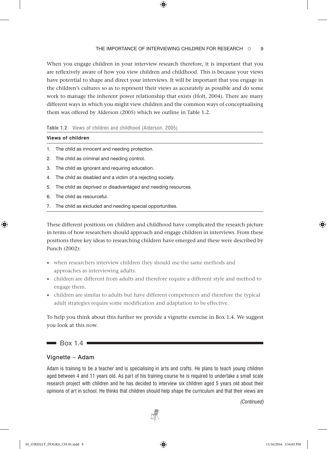### THE IMPORTANCE OF INTERVIEWING CHILDREN FOR RESEARCH 0 9

When you engage children in your interview research therefore, it is important that you are reflexively aware of how you view children and childhood. This is because your views have potential to shape and direct your interviews. It will be important that you engage in the children's cultures so as to represent their views as accurately as possible and do some work to manage the inherent power relationship that exists (Holt, 2004). There are many different ways in which you might view children and the common ways of conceptualising them was offered by Alderson (2005) which we outline in Table 1.2.

### **Table 1.2** Views of children and childhood (Alderson, 2005)

| Views of children |                                                  |  |
|-------------------|--------------------------------------------------|--|
|                   | 1. The child as innocent and needing protection. |  |

- 2. The child as criminal and needing control.
- 3. The child as ignorant and requiring education.
- 4. The child as disabled and a victim of a rejecting society.
- 5. The child as deprived or disadvantaged and needing resources.
- 6. The child as resourceful.
- 7. The child as excluded and needing special opportunities.

These different positions on children and childhood have complicated the research picture in terms of how researchers should approach and engage children in interviews. From these positions three key ideas to researching children have emerged and these were described by Punch (2002):

- when researchers interview children they should use the same methods and approaches as interviewing adults.
- children are different from adults and therefore require a different style and method to engage them.
- children are similar to adults but have different competences and therefore the typical adult strategies require some modification and adaptation to be effective.

To help you think about this further we provide a vignette exercise in Box 1.4. We suggest you look at this now.

 $\blacksquare$  Box 1.4

### Vignette – Adam

Adam is training to be a teacher and is specialising in arts and crafts. He plans to teach young children aged between 4 and 11 years old. As part of his training course he is required to undertake a small scale research project with children and he has decided to interview six children aged 5 years old about their opinions of art in school. He thinks that children should help shape the curriculum and that their views are

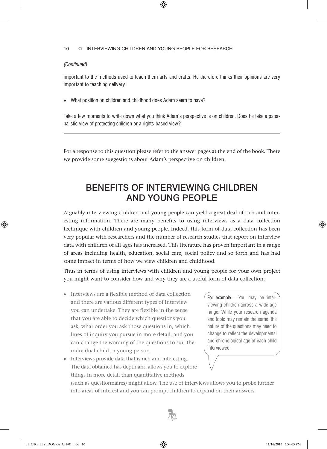### *(Continued)*

important to the methods used to teach them arts and crafts. He therefore thinks their opinions are very important to teaching delivery.

• What position on children and childhood does Adam seem to have?

Take a few moments to write down what you think Adam's perspective is on children. Does he take a paternalistic view of protecting children or a rights-based view?

For a response to this question please refer to the answer pages at the end of the book. There we provide some suggestions about Adam's perspective on children.

# BENEFITS OF INTERVIEWING CHILDREN AND YOUNG PEOPLE

Arguably interviewing children and young people can yield a great deal of rich and interesting information. There are many benefits to using interviews as a data collection technique with children and young people. Indeed, this form of data collection has been very popular with researchers and the number of research studies that report on interview data with children of all ages has increased. This literature has proven important in a range of areas including health, education, social care, social policy and so forth and has had some impact in terms of how we view children and childhood.

Thus in terms of using interviews with children and young people for your own project you might want to consider how and why they are a useful form of data collection.

- Interviews are a flexible method of data collection and there are various different types of interview you can undertake. They are flexible in the sense that you are able to decide which questions you ask, what order you ask those questions in, which lines of inquiry you pursue in more detail, and you can change the wording of the questions to suit the individual child or young person.
- Interviews provide data that is rich and interesting. The data obtained has depth and allows you to explore things in more detail than quantitative methods

For example… You may be interviewing children across a wide age range. While your research agenda and topic may remain the same, the nature of the questions may need to change to reflect the developmental and chronological age of each child interviewed.

(such as questionnaires) might allow. The use of interviews allows you to probe further into areas of interest and you can prompt children to expand on their answers.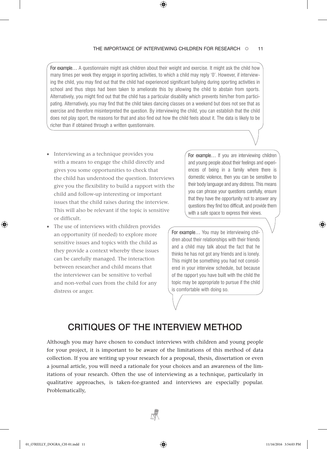For example... A questionnaire might ask children about their weight and exercise. It might ask the child how many times per week they engage in sporting activities, to which a child may reply '0'. However, if interviewing the child, you may find out that the child had experienced significant bullying during sporting activities in school and thus steps had been taken to ameliorate this by allowing the child to abstain from sports. Alternatively, you might find out that the child has a particular disability which prevents him/her from participating. Alternatively, you may find that the child takes dancing classes on a weekend but does not see that as exercise and therefore misinterpreted the question. By interviewing the child, you can establish that the child does not play sport, the reasons for that and also find out how the child feels about it. The data is likely to be richer than if obtained through a written questionnaire.

- Interviewing as a technique provides you with a means to engage the child directly and gives you some opportunities to check that the child has understood the question. Interviews give you the flexibility to build a rapport with the child and follow-up interesting or important issues that the child raises during the interview. This will also be relevant if the topic is sensitive or difficult.
- The use of interviews with children provides an opportunity (if needed) to explore more sensitive issues and topics with the child as they provide a context whereby these issues can be carefully managed. The interaction between researcher and child means that the interviewer can be sensitive to verbal and non-verbal cues from the child for any distress or anger.

For example… If you are interviewing children and young people about their feelings and experiences of being in a family where there is domestic violence, then you can be sensitive to their body language and any distress. This means you can phrase your questions carefully, ensure that they have the opportunity not to answer any questions they find too difficult, and provide them with a safe space to express their views.

For example… You may be interviewing children about their relationships with their friends and a child may talk about the fact that he thinks he has not got any friends and is lonely. This might be something you had not considered in your interview schedule, but because of the rapport you have built with the child the topic may be appropriate to pursue if the child is comfortable with doing so.

# CRITIQUES OF THE INTERVIEW METHOD

Although you may have chosen to conduct interviews with children and young people for your project, it is important to be aware of the limitations of this method of data collection. If you are writing up your research for a proposal, thesis, dissertation or even a journal article, you will need a rationale for your choices and an awareness of the limitations of your research. Often the use of interviewing as a technique, particularly in qualitative approaches, is taken-for-granted and interviews are especially popular. Problematically,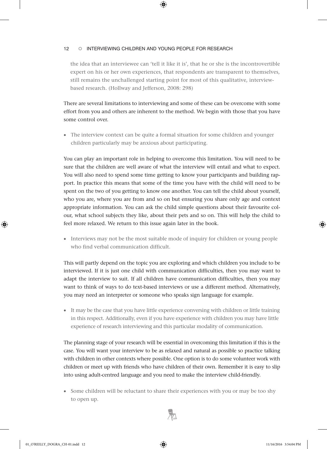the idea that an interviewee can 'tell it like it is', that he or she is the incontrovertible expert on his or her own experiences, that respondents are transparent to themselves, still remains the unchallenged starting point for most of this qualitative, interviewbased research. (Hollway and Jefferson, 2008: 298)

There are several limitations to interviewing and some of these can be overcome with some effort from you and others are inherent to the method. We begin with those that you have some control over.

• The interview context can be quite a formal situation for some children and younger children particularly may be anxious about participating.

You can play an important role in helping to overcome this limitation. You will need to be sure that the children are well aware of what the interview will entail and what to expect. You will also need to spend some time getting to know your participants and building rapport. In practice this means that some of the time you have with the child will need to be spent on the two of you getting to know one another. You can tell the child about yourself, who you are, where you are from and so on but ensuring you share only age and context appropriate information. You can ask the child simple questions about their favourite colour, what school subjects they like, about their pets and so on. This will help the child to feel more relaxed. We return to this issue again later in the book.

• Interviews may not be the most suitable mode of inquiry for children or young people who find verbal communication difficult.

This will partly depend on the topic you are exploring and which children you include to be interviewed. If it is just one child with communication difficulties, then you may want to adapt the interview to suit. If all children have communication difficulties, then you may want to think of ways to do text-based interviews or use a different method. Alternatively, you may need an interpreter or someone who speaks sign language for example.

• It may be the case that you have little experience conversing with children or little training in this respect. Additionally, even if you have experience with children you may have little experience of research interviewing and this particular modality of communication.

The planning stage of your research will be essential in overcoming this limitation if this is the case. You will want your interview to be as relaxed and natural as possible so practice talking with children in other contexts where possible. One option is to do some volunteer work with children or meet up with friends who have children of their own. Remember it is easy to slip into using adult-centred language and you need to make the interview child-friendly.

• Some children will be reluctant to share their experiences with you or may be too shy to open up.

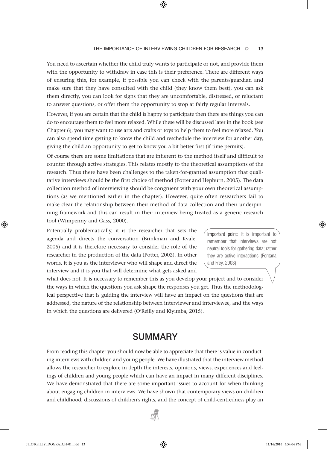You need to ascertain whether the child truly wants to participate or not, and provide them with the opportunity to withdraw in case this is their preference. There are different ways of ensuring this, for example, if possible you can check with the parents/guardian and make sure that they have consulted with the child (they know them best), you can ask them directly, you can look for signs that they are uncomfortable, distressed, or reluctant to answer questions, or offer them the opportunity to stop at fairly regular intervals.

However, if you are certain that the child is happy to participate then there are things you can do to encourage them to feel more relaxed. While these will be discussed later in the book (see Chapter 6), you may want to use arts and crafts or toys to help them to feel more relaxed. You can also spend time getting to know the child and reschedule the interview for another day, giving the child an opportunity to get to know you a bit better first (if time permits).

Of course there are some limitations that are inherent to the method itself and difficult to counter through active strategies. This relates mostly to the theoretical assumptions of the research. Thus there have been challenges to the taken-for-granted assumption that qualitative interviews should be the first choice of method (Potter and Hepburn, 2005). The data collection method of interviewing should be congruent with your own theoretical assumptions (as we mentioned earlier in the chapter). However, quite often researchers fail to make clear the relationship between their method of data collection and their underpinning framework and this can result in their interview being treated as a generic research tool (Wimpenny and Gass, 2000).

Potentially problematically, it is the researcher that sets the agenda and directs the conversation (Brinkman and Kvale, 2005) and it is therefore necessary to consider the role of the researcher in the production of the data (Potter, 2002). In other words, it is you as the interviewer who will shape and direct the interview and it is you that will determine what gets asked and

Important point: It is important to remember that interviews are not neutral tools for gathering data; rather they are active interactions (Fontana and Frey, 2003).

what does not. It is necessary to remember this as you develop your project and to consider the ways in which the questions you ask shape the responses you get. Thus the methodological perspective that is guiding the interview will have an impact on the questions that are addressed, the nature of the relationship between interviewer and interviewee, and the ways in which the questions are delivered (O'Reilly and Kiyimba, 2015).

# SUMMARY

From reading this chapter you should now be able to appreciate that there is value in conducting interviews with children and young people. We have illustrated that the interview method allows the researcher to explore in depth the interests, opinions, views, experiences and feelings of children and young people which can have an impact in many different disciplines. We have demonstrated that there are some important issues to account for when thinking about engaging children in interviews. We have shown that contemporary views on children and childhood, discussions of children's rights, and the concept of child-centredness play an